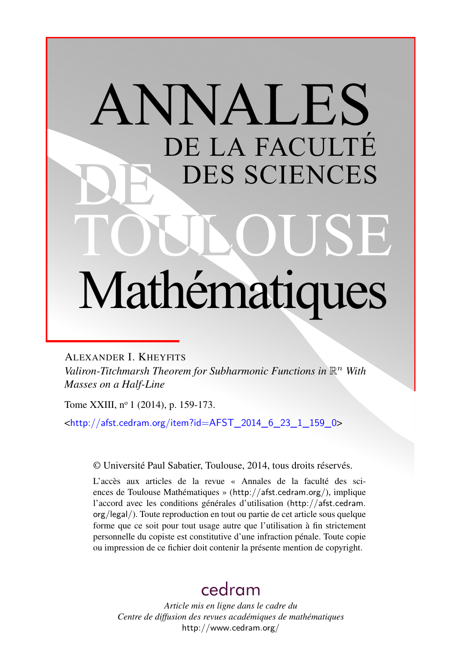# ANNALES DE LA FACULTÉ DES SCIENCES Mathématiques

ALEXANDER I. KHEYFITS *Valiron-Titchmarsh Theorem for Subharmonic Functions in* R *<sup>n</sup> With Masses on a Half-Line*

Tome XXIII, nº 1 (2014), p. 159-173.

<[http://afst.cedram.org/item?id=AFST\\_2014\\_6\\_23\\_1\\_159\\_0](http://afst.cedram.org/item?id=AFST_2014_6_23_1_159_0)>

© Université Paul Sabatier, Toulouse, 2014, tous droits réservés.

L'accès aux articles de la revue « Annales de la faculté des sciences de Toulouse Mathématiques » (<http://afst.cedram.org/>), implique l'accord avec les conditions générales d'utilisation ([http://afst.cedram.](http://afst.cedram.org/legal/) [org/legal/](http://afst.cedram.org/legal/)). Toute reproduction en tout ou partie de cet article sous quelque forme que ce soit pour tout usage autre que l'utilisation à fin strictement personnelle du copiste est constitutive d'une infraction pénale. Toute copie ou impression de ce fichier doit contenir la présente mention de copyright.

# [cedram](http://www.cedram.org/)

*Article mis en ligne dans le cadre du Centre de diffusion des revues académiques de mathématiques* <http://www.cedram.org/>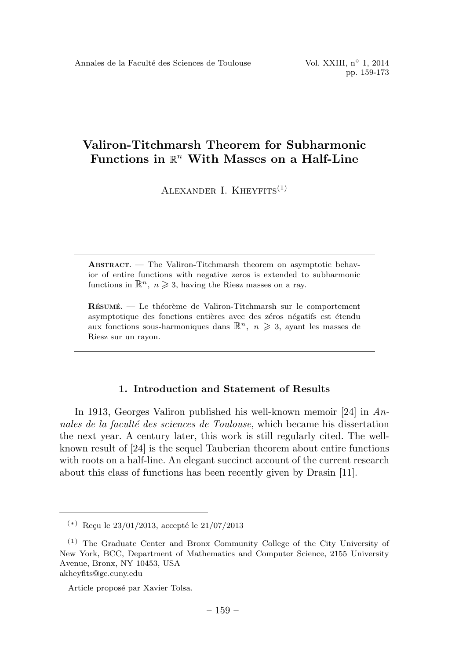# Valiron-Titchmarsh Theorem for Subharmonic Functions in  $\mathbb{R}^n$  With Masses on a Half-Line

ALEXANDER I. KHEYFITS $(1)$ 

ABSTRACT. — The Valiron-Titchmarsh theorem on asymptotic behavior of entire functions with negative zeros is extended to subharmonic functions in  $\mathbb{R}^n$ ,  $n \geqslant 3$ , having the Riesz masses on a ray.

RÉSUMÉ. — Le théorème de Valiron-Titchmarsh sur le comportement asymptotique des fonctions entières avec des zéros négatifs est étendu aux fonctions sous-harmoniques dans  $\mathbb{R}^n$ ,  $n \geq 3$ , ayant les masses de Riesz sur un rayon.

### 1. Introduction and Statement of Results

In 1913, Georges Valiron published his well-known memoir [24] in Annales de la faculté des sciences de Toulouse, which became his dissertation the next year. A century later, this work is still regularly cited. The wellknown result of [24] is the sequel Tauberian theorem about entire functions with roots on a half-line. An elegant succinct account of the current research about this class of functions has been recently given by Drasin [11].

akheyfits@gc.cuny.edu

 $(*)$  Recu le 23/01/2013, accepté le 21/07/2013

<sup>(1)</sup> The Graduate Center and Bronx Community College of the City University of New York, BCC, Department of Mathematics and Computer Science, 2155 University Avenue, Bronx, NY 10453, USA

Article proposé par Xavier Tolsa.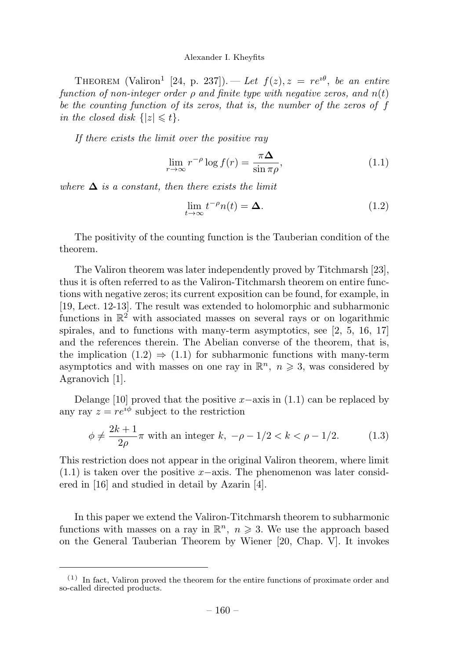THEOREM (Valiron<sup>1</sup> [24, p. 237]). — Let  $f(z)$ ,  $z = re^{i\theta}$ , be an entire function of non-integer order  $\rho$  and finite type with negative zeros, and  $n(t)$ be the counting function of its zeros, that is, the number of the zeros of f in the closed disk  $\{|z| \leq t\}.$ 

If there exists the limit over the positive ray

$$
\lim_{r \to \infty} r^{-\rho} \log f(r) = \frac{\pi \Delta}{\sin \pi \rho},\tag{1.1}
$$

where  $\Delta$  is a constant, then there exists the limit

$$
\lim_{t \to \infty} t^{-\rho} n(t) = \Delta. \tag{1.2}
$$

The positivity of the counting function is the Tauberian condition of the theorem.

The Valiron theorem was later independently proved by Titchmarsh [23], thus it is often referred to as the Valiron-Titchmarsh theorem on entire functions with negative zeros; its current exposition can be found, for example, in [19, Lect. 12-13]. The result was extended to holomorphic and subharmonic functions in  $\mathbb{R}^2$  with associated masses on several rays or on logarithmic spirales, and to functions with many-term asymptotics, see [2, 5, 16, 17] and the references therein. The Abelian converse of the theorem, that is, the implication  $(1.2) \Rightarrow (1.1)$  for subharmonic functions with many-term asymptotics and with masses on one ray in  $\mathbb{R}^n$ ,  $n \geq 3$ , was considered by Agranovich [1].

Delange [10] proved that the positive x–axis in  $(1.1)$  can be replaced by any ray  $z = re^{i\phi}$  subject to the restriction

$$
\phi \neq \frac{2k+1}{2\rho} \pi
$$
 with an integer  $k, -\rho - 1/2 < k < \rho - 1/2$ . (1.3)

This restriction does not appear in the original Valiron theorem, where limit  $(1.1)$  is taken over the positive x–axis. The phenomenon was later considered in [16] and studied in detail by Azarin [4].

In this paper we extend the Valiron-Titchmarsh theorem to subharmonic functions with masses on a ray in  $\mathbb{R}^n$ ,  $n \geqslant 3$ . We use the approach based on the General Tauberian Theorem by Wiener [20, Chap. V]. It invokes

 $(1)$  In fact, Valiron proved the theorem for the entire functions of proximate order and so-called directed products.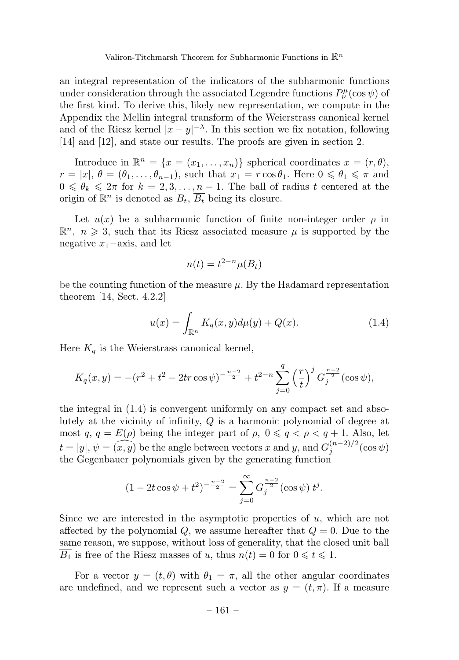an integral representation of the indicators of the subharmonic functions under consideration through the associated Legendre functions  $P^{\mu}_{\nu}(\cos\psi)$  of the first kind. To derive this, likely new representation, we compute in the Appendix the Mellin integral transform of the Weierstrass canonical kernel and of the Riesz kernel  $|x-y|^{-\lambda}$ . In this section we fix notation, following [14] and [12], and state our results. The proofs are given in section 2.

Introduce in  $\mathbb{R}^n = \{x = (x_1, \ldots, x_n)\}\$  spherical coordinates  $x = (r, \theta),$  $r = |x|, \theta = (\theta_1, \dots, \theta_{n-1}),$  such that  $x_1 = r \cos \theta_1$ . Here  $0 \le \theta_1 \le \pi$  and  $0 \le \theta_k \le 2\pi$  for  $k = 2, 3, \ldots, n-1$ . The ball of radius t centered at the origin of  $\mathbb{R}^n$  is denoted as  $B_t$ ,  $\overline{B_t}$  being its closure.

Let  $u(x)$  be a subharmonic function of finite non-integer order  $\rho$  in  $\mathbb{R}^n$ ,  $n \geqslant 3$ , such that its Riesz associated measure  $\mu$  is supported by the negative  $x_1$ −axis, and let

$$
n(t) = t^{2-n} \mu(\overline{B_t})
$$

be the counting function of the measure  $\mu$ . By the Hadamard representation theorem [14, Sect. 4.2.2]

$$
u(x) = \int_{\mathbb{R}^n} K_q(x, y) d\mu(y) + Q(x).
$$
 (1.4)

Here  $K_q$  is the Weierstrass canonical kernel,

$$
K_q(x,y) = -(r^2 + t^2 - 2tr\cos\psi)^{-\frac{n-2}{2}} + t^{2-n} \sum_{j=0}^q \left(\frac{r}{t}\right)^j G_j^{\frac{n-2}{2}}(\cos\psi),
$$

the integral in  $(1.4)$  is convergent uniformly on any compact set and absolutely at the vicinity of infinity,  $Q$  is a harmonic polynomial of degree at most  $q, q = E(\rho)$  being the integer part of  $\rho, 0 \leqslant q < \rho < q + 1$ . Also, let  $t = |y|, \psi = (\widehat{x}, \widehat{y})$  be the angle between vectors x and y, and  $G_j^{(n-2)/2}(\cos \psi)$ the Gegenbauer polynomials given by the generating function

$$
(1 - 2t\cos\psi + t^2)^{-\frac{n-2}{2}} = \sum_{j=0}^{\infty} G_j^{\frac{n-2}{2}}(\cos\psi) t^j.
$$

Since we are interested in the asymptotic properties of u, which are not affected by the polynomial  $Q$ , we assume hereafter that  $Q = 0$ . Due to the same reason, we suppose, without loss of generality, that the closed unit ball  $B_1$  is free of the Riesz masses of u, thus  $n(t) = 0$  for  $0 \le t \le 1$ .

For a vector  $y = (t, \theta)$  with  $\theta_1 = \pi$ , all the other angular coordinates are undefined, and we represent such a vector as  $y = (t, \pi)$ . If a measure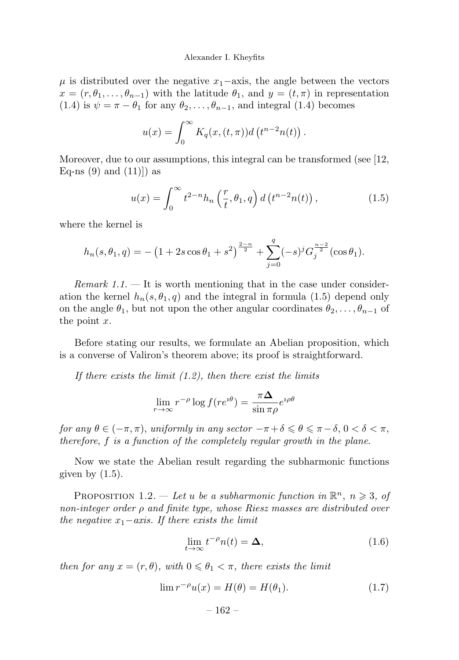$\mu$  is distributed over the negative  $x_1$ –axis, the angle between the vectors  $x = (r, \theta_1, \ldots, \theta_{n-1})$  with the latitude  $\theta_1$ , and  $y = (t, \pi)$  in representation (1.4) is  $\psi = \pi - \theta_1$  for any  $\theta_2, \ldots, \theta_{n-1}$ , and integral (1.4) becomes

$$
u(x) = \int_0^\infty K_q(x, (t, \pi)) d\left(t^{n-2} n(t)\right).
$$

Moreover, due to our assumptions, this integral can be transformed (see [12, Eq-ns  $(9)$  and  $(11)$ ] as

$$
u(x) = \int_0^\infty t^{2-n} h_n\left(\frac{r}{t}, \theta_1, q\right) d\left(t^{n-2} n(t)\right),\tag{1.5}
$$

where the kernel is

$$
h_n(s, \theta_1, q) = -\left(1 + 2s\cos\theta_1 + s^2\right)^{\frac{2-n}{2}} + \sum_{j=0}^q (-s)^j G_j^{\frac{n-2}{2}}(\cos\theta_1).
$$

Remark  $1.1$ .  $-$  It is worth mentioning that in the case under consideration the kernel  $h_n(s, \theta_1, q)$  and the integral in formula (1.5) depend only on the angle  $\theta_1$ , but not upon the other angular coordinates  $\theta_2,\ldots,\theta_{n-1}$  of the point  $x$ .

Before stating our results, we formulate an Abelian proposition, which is a converse of Valiron's theorem above; its proof is straightforward.

If there exists the limit  $(1.2)$ , then there exist the limits

$$
\lim_{r \to \infty} r^{-\rho} \log f(re^{i\theta}) = \frac{\pi \Delta}{\sin \pi \rho} e^{i\rho \theta}
$$

for any  $\theta \in (-\pi, \pi)$ , uniformly in any sector  $-\pi + \delta \leq \theta \leq \pi - \delta$ ,  $0 < \delta < \pi$ , therefore, f is a function of the completely regular growth in the plane.

Now we state the Abelian result regarding the subharmonic functions given by  $(1.5)$ .

PROPOSITION 1.2. — Let u be a subharmonic function in  $\mathbb{R}^n$ ,  $n \geq 3$ , of non-integer order ρ and finite type, whose Riesz masses are distributed over the negative  $x_1 - axis$ . If there exists the limit

$$
\lim_{t \to \infty} t^{-\rho} n(t) = \Delta, \tag{1.6}
$$

then for any  $x = (r, \theta)$ , with  $0 \le \theta_1 < \pi$ , there exists the limit

$$
\lim r^{-\rho}u(x) = H(\theta) = H(\theta_1). \tag{1.7}
$$

$$
-162 -
$$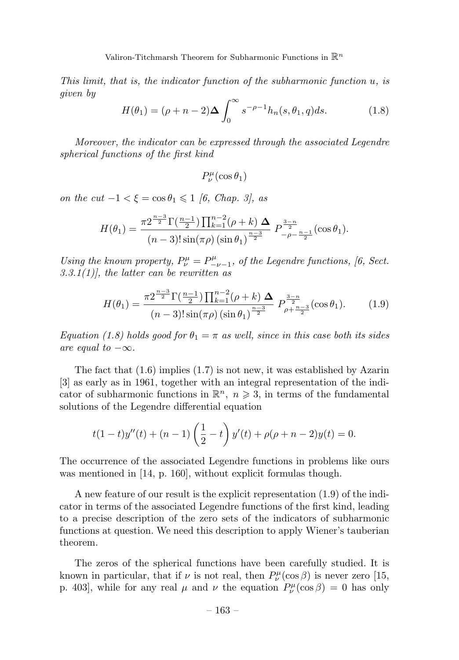This limit, that is, the indicator function of the subharmonic function u, is given by

$$
H(\theta_1) = (\rho + n - 2)\Delta \int_0^\infty s^{-\rho - 1} h_n(s, \theta_1, q) ds.
$$
 (1.8)

Moreover, the indicator can be expressed through the associated Legendre spherical functions of the first kind

$$
P_{\nu}^{\mu}(\cos\theta_1)
$$

on the  $cut -1 < \xi = \cos \theta_1 \leq 1$  [6, Chap. 3], as

$$
H(\theta_1) = \frac{\pi 2^{\frac{n-3}{2}} \Gamma(\frac{n-1}{2}) \prod_{k=1}^{n-2} (\rho + k) \Delta}{(n-3)! \sin(\pi \rho) \left(\sin \theta_1\right)^{\frac{n-3}{2}}} P_{-\rho - \frac{n-1}{2}}^{\frac{3-n}{2}}(\cos \theta_1).
$$

Using the known property,  $P^{\mu}_{\nu} = P^{\mu}_{-\nu-1}$ , of the Legendre functions, [6, Sect. 3.3.1(1), the latter can be rewritten as

$$
H(\theta_1) = \frac{\pi 2^{\frac{n-3}{2}} \Gamma(\frac{n-1}{2}) \prod_{k=1}^{n-2} (\rho + k) \Delta}{(n-3)! \sin(\pi \rho) \left(\sin \theta_1\right)^{\frac{n-3}{2}}} P_{\rho + \frac{n-3}{2}}^{\frac{3-n}{2}}(\cos \theta_1). \tag{1.9}
$$

Equation (1.8) holds good for  $\theta_1 = \pi$  as well, since in this case both its sides are equal to  $-\infty$ .

The fact that  $(1.6)$  implies  $(1.7)$  is not new, it was established by Azarin [3] as early as in 1961, together with an integral representation of the indicator of subharmonic functions in  $\mathbb{R}^n$ ,  $n \geq 3$ , in terms of the fundamental solutions of the Legendre differential equation

$$
t(1-t)y''(t) + (n-1)\left(\frac{1}{2} - t\right)y'(t) + \rho(\rho + n - 2)y(t) = 0.
$$

The occurrence of the associated Legendre functions in problems like ours was mentioned in [14, p. 160], without explicit formulas though.

A new feature of our result is the explicit representation (1.9) of the indicator in terms of the associated Legendre functions of the first kind, leading to a precise description of the zero sets of the indicators of subharmonic functions at question. We need this description to apply Wiener's tauberian theorem.

The zeros of the spherical functions have been carefully studied. It is known in particular, that if  $\nu$  is not real, then  $P^{\mu}_{\nu}(\cos \beta)$  is never zero [15, p. 403], while for any real  $\mu$  and  $\nu$  the equation  $P^{\mu}_{\nu}(\cos \beta) = 0$  has only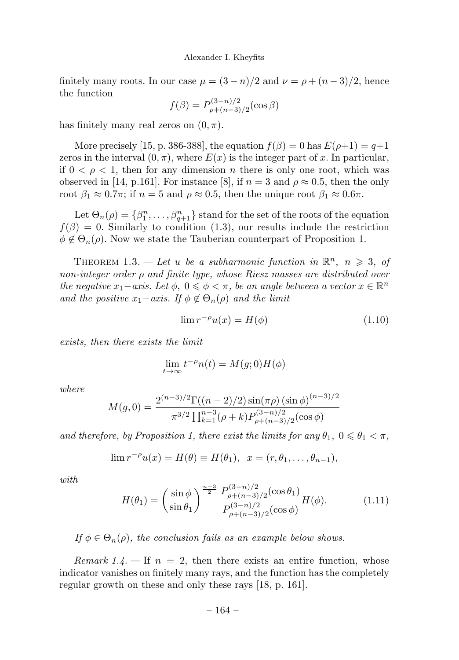finitely many roots. In our case  $\mu = (3 - n)/2$  and  $\nu = \rho + (n - 3)/2$ , hence the function

$$
f(\beta) = P_{\rho + (n-3)/2}^{(3-n)/2}(\cos \beta)
$$

has finitely many real zeros on  $(0, \pi)$ .

More precisely [15, p. 386-388], the equation  $f(\beta) = 0$  has  $E(\rho+1) = q+1$ zeros in the interval  $(0, \pi)$ , where  $E(x)$  is the integer part of x. In particular, if  $0 \leq \rho \leq 1$ , then for any dimension n there is only one root, which was observed in [14, p.161]. For instance [8], if  $n = 3$  and  $\rho \approx 0.5$ , then the only root  $\beta_1 \approx 0.7\pi$ ; if  $n = 5$  and  $\rho \approx 0.5$ , then the unique root  $\beta_1 \approx 0.6\pi$ .

Let  $\Theta_n(\rho) = {\beta_1^n, \ldots, \beta_{q+1}^n}$  stand for the set of the roots of the equation  $f(\beta) = 0$ . Similarly to condition (1.3), our results include the restriction  $\phi \notin \Theta_n(\rho)$ . Now we state the Tauberian counterpart of Proposition 1.

THEOREM 1.3. — Let u be a subharmonic function in  $\mathbb{R}^n$ ,  $n \geqslant 3$ , of non-integer order ρ and finite type, whose Riesz masses are distributed over the negative  $x_1 - axis$ . Let  $\phi$ ,  $0 \le \phi < \pi$ , be an angle between a vector  $x \in \mathbb{R}^n$ and the positive  $x_1 - axis$ . If  $\phi \notin \Theta_n(\rho)$  and the limit

$$
\lim r^{-\rho}u(x) = H(\phi) \tag{1.10}
$$

exists, then there exists the limit

$$
\lim_{t \to \infty} t^{-\rho} n(t) = M(g; 0) H(\phi)
$$

where

$$
M(g,0) = \frac{2^{(n-3)/2} \Gamma((n-2)/2) \sin(\pi \rho) (\sin \phi)^{(n-3)/2}}{\pi^{3/2} \prod_{k=1}^{n-3} (\rho + k) P_{\rho + (n-3)/2}^{(3-n)/2} (\cos \phi)}
$$

and therefore, by Proposition 1, there exist the limits for any  $\theta_1$ ,  $0 \le \theta_1 < \pi$ ,

$$
\lim_{n \to \infty} r^{-\rho} u(x) = H(\theta) \equiv H(\theta_1), \quad x = (r, \theta_1, \dots, \theta_{n-1}),
$$

with.

$$
H(\theta_1) = \left(\frac{\sin\phi}{\sin\theta_1}\right)^{\frac{n-3}{2}} \frac{P_{\rho+(n-3)/2}^{(3-n)/2}(\cos\theta_1)}{P_{\rho+(n-3)/2}^{(3-n)/2}(\cos\phi)} H(\phi).
$$
 (1.11)

If  $\phi \in \Theta_n(\rho)$ , the conclusion fails as an example below shows.

*Remark 1.4.*  $\equiv$  If  $n = 2$ , then there exists an entire function, whose indicator vanishes on finitely many rays, and the function has the completely regular growth on these and only these rays [18, p. 161].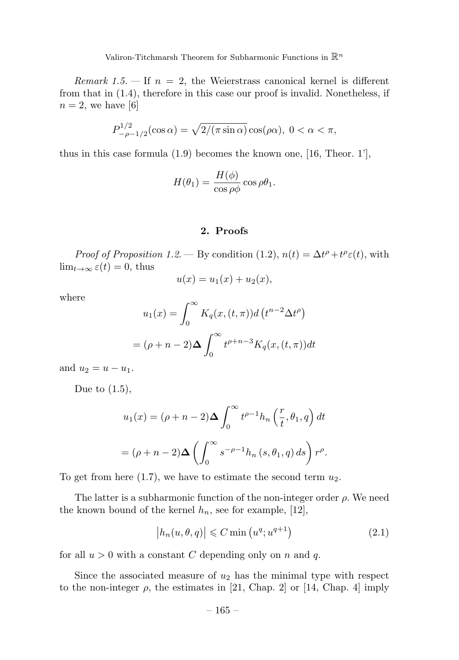Remark 1.5. – If  $n = 2$ , the Weierstrass canonical kernel is different from that in (1.4), therefore in this case our proof is invalid. Nonetheless, if  $n = 2$ , we have [6]

$$
P_{-\rho-1/2}^{1/2}(\cos\alpha) = \sqrt{2/(\pi \sin\alpha)}\cos(\rho\alpha), \ 0 < \alpha < \pi,
$$

thus in this case formula (1.9) becomes the known one, [16, Theor. 1'],

$$
H(\theta_1) = \frac{H(\phi)}{\cos \rho \phi} \cos \rho \theta_1.
$$

### 2. Proofs

*Proof of Proposition 1.2.* — By condition (1.2),  $n(t) = \Delta t^{\rho} + t^{\rho} \varepsilon(t)$ , with  $\lim_{t\to\infty} \varepsilon(t) = 0$ , thus

$$
u(x) = u_1(x) + u_2(x),
$$

where

$$
u_1(x) = \int_0^\infty K_q(x, (t, \pi)) d(t^{n-2} \Delta t^\rho)
$$

$$
= (\rho + n - 2) \Delta \int_0^\infty t^{\rho+n-3} K_q(x, (t, \pi)) dt
$$

and  $u_2 = u - u_1$ .

Due to  $(1.5)$ ,

$$
u_1(x) = (\rho + n - 2)\Delta \int_0^\infty t^{\rho-1} h_n\left(\frac{r}{t}, \theta_1, q\right) dt
$$

$$
= (\rho + n - 2)\Delta \left(\int_0^\infty s^{-\rho-1} h_n\left(s, \theta_1, q\right) ds\right) r^\rho.
$$

To get from here  $(1.7)$ , we have to estimate the second term  $u_2$ .

The latter is a subharmonic function of the non-integer order  $\rho$ . We need the known bound of the kernel  $h_n$ , see for example, [12],

$$
\left| h_n(u, \theta, q) \right| \leqslant C \min \left( u^q; u^{q+1} \right) \tag{2.1}
$$

for all  $u > 0$  with a constant C depending only on n and q.

Since the associated measure of  $u_2$  has the minimal type with respect to the non-integer  $\rho$ , the estimates in [21, Chap. 2] or [14, Chap. 4] imply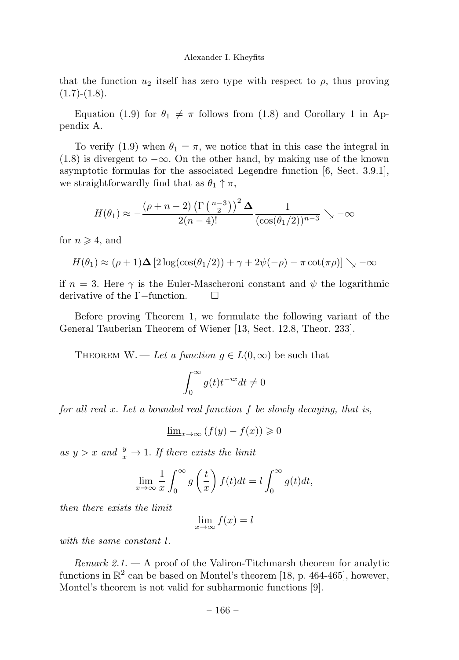that the function  $u_2$  itself has zero type with respect to  $\rho$ , thus proving  $(1.7)-(1.8).$ 

Equation (1.9) for  $\theta_1 \neq \pi$  follows from (1.8) and Corollary 1 in Appendix A.

To verify (1.9) when  $\theta_1 = \pi$ , we notice that in this case the integral in  $(1.8)$  is divergent to  $-\infty$ . On the other hand, by making use of the known asymptotic formulas for the associated Legendre function [6, Sect. 3.9.1], we straightforwardly find that as  $\theta_1 \uparrow \pi$ ,

$$
H(\theta_1) \approx -\frac{(\rho + n - 2)\left(\Gamma\left(\frac{n-3}{2}\right)\right)^2 \Delta}{2(n-4)!} \frac{1}{(\cos(\theta_1/2))^{n-3}} \searrow -\infty
$$

for  $n \geqslant 4$ , and

$$
H(\theta_1) \approx (\rho + 1)\Delta \left[2\log(\cos(\theta_1/2)) + \gamma + 2\psi(-\rho) - \pi \cot(\pi \rho)\right] \searrow -\infty
$$

if  $n = 3$ . Here  $\gamma$  is the Euler-Mascheroni constant and  $\psi$  the logarithmic derivative of the Γ−function.

Before proving Theorem 1, we formulate the following variant of the General Tauberian Theorem of Wiener [13, Sect. 12.8, Theor. 233].

THEOREM W. — Let a function  $g \in L(0,\infty)$  be such that

$$
\int_0^\infty g(t)t^{-ix}dt \neq 0
$$

for all real  $x$ . Let a bounded real function  $f$  be slowly decaying, that is,

$$
\underline{\lim}_{x \to \infty} \left( f(y) - f(x) \right) \geq 0
$$

as  $y > x$  and  $\frac{y}{x} \to 1$ . If there exists the limit

$$
\lim_{x \to \infty} \frac{1}{x} \int_0^{\infty} g\left(\frac{t}{x}\right) f(t) dt = l \int_0^{\infty} g(t) dt,
$$

then there exists the limit

$$
\lim_{x \to \infty} f(x) = l
$$

with the same constant l.

*Remark 2.1.*  $-$  A proof of the Valiron-Titchmarsh theorem for analytic functions in  $\mathbb{R}^2$  can be based on Montel's theorem [18, p. 464-465], however, Montel's theorem is not valid for subharmonic functions [9].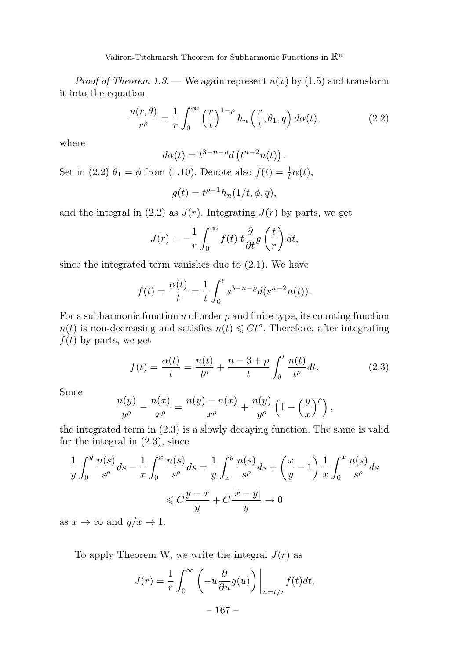Valiron-Titchmarsh Theorem for Subharmonic Functions in  $\mathbb{R}^n$ 

*Proof of Theorem 1.3.* — We again represent  $u(x)$  by (1.5) and transform it into the equation

$$
\frac{u(r,\theta)}{r^{\rho}} = \frac{1}{r} \int_0^{\infty} \left(\frac{r}{t}\right)^{1-\rho} h_n\left(\frac{r}{t}, \theta_1, q\right) d\alpha(t),\tag{2.2}
$$

where

$$
d\alpha(t)=t^{3-n-\rho}d\left(t^{n-2}n(t)\right).
$$

Set in (2.2)  $\theta_1 = \phi$  from (1.10). Denote also  $f(t) = \frac{1}{t}\alpha(t)$ ,

$$
g(t) = t^{\rho - 1} h_n(1/t, \phi, q),
$$

and the integral in (2.2) as  $J(r)$ . Integrating  $J(r)$  by parts, we get

$$
J(r) = -\frac{1}{r} \int_0^\infty f(t) \ t \frac{\partial}{\partial t} g\left(\frac{t}{r}\right) dt,
$$

since the integrated term vanishes due to (2.1). We have

$$
f(t) = \frac{\alpha(t)}{t} = \frac{1}{t} \int_0^t s^{3-n-\rho} d(s^{n-2}n(t)).
$$

For a subharmonic function u of order  $\rho$  and finite type, its counting function  $n(t)$  is non-decreasing and satisfies  $n(t) \leq Ct^{\rho}$ . Therefore, after integrating  $f(t)$  by parts, we get

$$
f(t) = \frac{\alpha(t)}{t} = \frac{n(t)}{t^{\rho}} + \frac{n - 3 + \rho}{t} \int_0^t \frac{n(t)}{t^{\rho}} dt.
$$
 (2.3)

Since

$$
\frac{n(y)}{y^{\rho}} - \frac{n(x)}{x^{\rho}} = \frac{n(y) - n(x)}{x^{\rho}} + \frac{n(y)}{y^{\rho}} \left(1 - \left(\frac{y}{x}\right)^{\rho}\right),
$$

the integrated term in (2.3) is a slowly decaying function. The same is valid for the integral in (2.3), since

$$
\frac{1}{y} \int_0^y \frac{n(s)}{s^\rho} ds - \frac{1}{x} \int_0^x \frac{n(s)}{s^\rho} ds = \frac{1}{y} \int_x^y \frac{n(s)}{s^\rho} ds + \left(\frac{x}{y} - 1\right) \frac{1}{x} \int_0^x \frac{n(s)}{s^\rho} ds
$$

$$
\leq C \frac{y - x}{y} + C \frac{|x - y|}{y} \to 0
$$

as  $x \to \infty$  and  $y/x \to 1$ .

To apply Theorem W, we write the integral  $J(r)$  as

$$
J(r) = \frac{1}{r} \int_0^{\infty} \left( -u \frac{\partial}{\partial u} g(u) \right) \Big|_{u=t/r} f(t) dt,
$$
  
- 167 -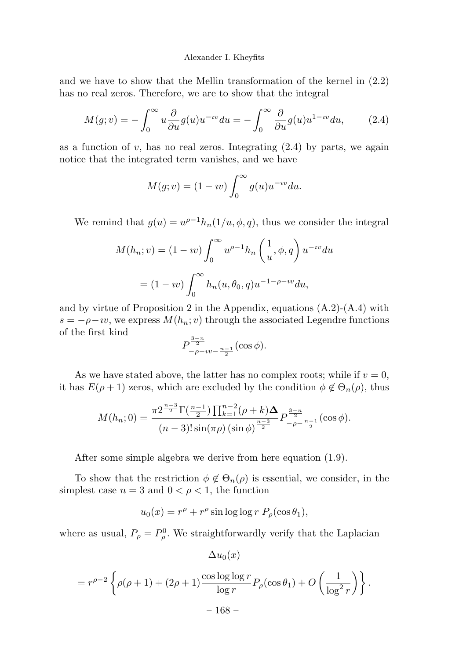and we have to show that the Mellin transformation of the kernel in (2.2) has no real zeros. Therefore, we are to show that the integral

$$
M(g; v) = -\int_0^\infty u \frac{\partial}{\partial u} g(u) u^{-iv} du = -\int_0^\infty \frac{\partial}{\partial u} g(u) u^{1 - iv} du,
$$
 (2.4)

as a function of  $v$ , has no real zeros. Integrating  $(2.4)$  by parts, we again notice that the integrated term vanishes, and we have

$$
M(g; v) = (1 - iv) \int_0^\infty g(u)u^{-iv} du.
$$

We remind that  $g(u) = u^{\rho-1}h_n(1/u, \phi, q)$ , thus we consider the integral

$$
M(h_n; v) = (1 - iv) \int_0^\infty u^{\rho - 1} h_n\left(\frac{1}{u}, \phi, q\right) u^{-iv} du
$$

$$
= (1 - iv) \int_0^\infty h_n(u, \theta_0, q) u^{-1 - \rho - iv} du,
$$

and by virtue of Proposition 2 in the Appendix, equations  $(A.2)$ - $(A.4)$  with  $s = -\rho - i v$ , we express  $M(h_n; v)$  through the associated Legendre functions of the first kind

$$
P_{-\rho - i\nu - \frac{n-1}{2}}^{\frac{3-n}{2}}(\cos \phi).
$$

As we have stated above, the latter has no complex roots; while if  $v = 0$ , it has  $E(\rho + 1)$  zeros, which are excluded by the condition  $\phi \notin \Theta_n(\rho)$ , thus

$$
M(h_n; 0) = \frac{\pi 2^{\frac{n-3}{2}} \Gamma(\frac{n-1}{2}) \prod_{k=1}^{n-2} (\rho + k) \Delta}{(n-3)! \sin(\pi \rho) \left(\sin \phi\right)^{\frac{n-3}{2}}} P_{-\rho - \frac{n-1}{2}}^{\frac{3-n}{2}}(\cos \phi).
$$

After some simple algebra we derive from here equation (1.9).

To show that the restriction  $\phi \notin \Theta_n(\rho)$  is essential, we consider, in the simplest case  $n = 3$  and  $0 < \rho < 1$ , the function

$$
u_0(x) = r^{\rho} + r^{\rho} \sin \log \log r \ P_{\rho}(\cos \theta_1),
$$

where as usual,  $P_{\rho} = P_{\rho}^{0}$ . We straightforwardly verify that the Laplacian

$$
= r^{\rho - 2} \left\{ \rho(\rho + 1) + (2\rho + 1) \frac{\cos \log \log r}{\log r} P_{\rho}(\cos \theta_1) + O\left(\frac{1}{\log^2 r}\right) \right\}.
$$
  
- 168 -

 $\Delta u_0(x)$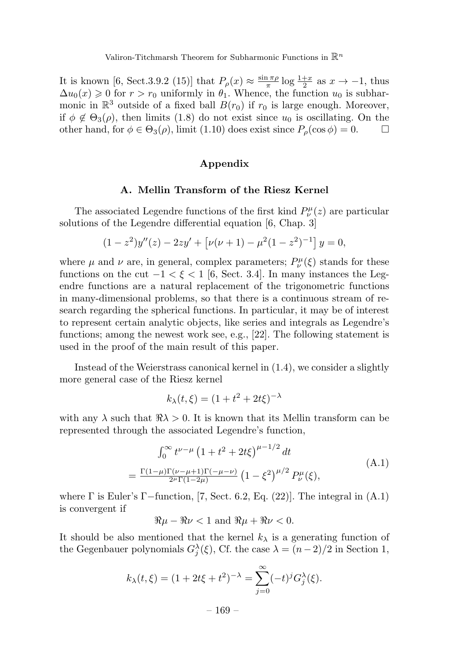It is known [6, Sect.3.9.2 (15)] that  $P_{\rho}(x) \approx \frac{\sin \pi \rho}{\pi} \log \frac{1+x}{2}$  as  $x \to -1$ , thus  $\Delta u_0(x) \geq 0$  for  $r > r_0$  uniformly in  $\theta_1$ . Whence, the function  $u_0$  is subharmonic in  $\mathbb{R}^3$  outside of a fixed ball  $B(r_0)$  if  $r_0$  is large enough. Moreover, if  $\phi \notin \Theta_3(\rho)$ , then limits (1.8) do not exist since  $u_0$  is oscillating. On the other hand, for  $\phi \in \Theta_3(\rho)$ , limit (1.10) does exist since  $P_\rho(\cos \phi) = 0$ .

## Appendix

#### A. Mellin Transform of the Riesz Kernel

The associated Legendre functions of the first kind  $P^{\mu}_{\nu}(z)$  are particular solutions of the Legendre differential equation [6, Chap. 3]

$$
(1 - z2)y''(z) - 2zy' + [\nu(\nu + 1) - \mu2(1 - z2)-1] y = 0,
$$

where  $\mu$  and  $\nu$  are, in general, complex parameters;  $P^{\mu}_{\nu}(\xi)$  stands for these functions on the cut  $-1 < \xi < 1$  [6, Sect. 3.4]. In many instances the Legendre functions are a natural replacement of the trigonometric functions in many-dimensional problems, so that there is a continuous stream of research regarding the spherical functions. In particular, it may be of interest to represent certain analytic objects, like series and integrals as Legendre's functions; among the newest work see, e.g., [22]. The following statement is used in the proof of the main result of this paper.

Instead of the Weierstrass canonical kernel in (1.4), we consider a slightly more general case of the Riesz kernel

$$
k_{\lambda}(t,\xi) = (1 + t^2 + 2t\xi)^{-\lambda}
$$

with any  $\lambda$  such that  $\Re \lambda > 0$ . It is known that its Mellin transform can be represented through the associated Legendre's function,

$$
\int_0^\infty t^{\nu-\mu} \left(1+t^2+2t\xi\right)^{\mu-1/2} dt
$$
\n
$$
= \frac{\Gamma(1-\mu)\Gamma(\nu-\mu+1)\Gamma(-\mu-\nu)}{2^{\mu}\Gamma(1-2\mu)} \left(1-\xi^2\right)^{\mu/2} P_{\nu}^{\mu}(\xi), \tag{A.1}
$$

where  $\Gamma$  is Euler's  $\Gamma$ -function, [7, Sect. 6.2, Eq. (22)]. The integral in (A.1) is convergent if

$$
\Re \mu - \Re \nu < 1 \text{ and } \Re \mu + \Re \nu < 0.
$$

It should be also mentioned that the kernel  $k_{\lambda}$  is a generating function of the Gegenbauer polynomials  $G_j^{\lambda}(\xi)$ , Cf. the case  $\lambda = (n-2)/2$  in Section 1,

$$
k_{\lambda}(t,\xi) = (1 + 2t\xi + t^2)^{-\lambda} = \sum_{j=0}^{\infty} (-t)^j G_j^{\lambda}(\xi).
$$

 $-169-$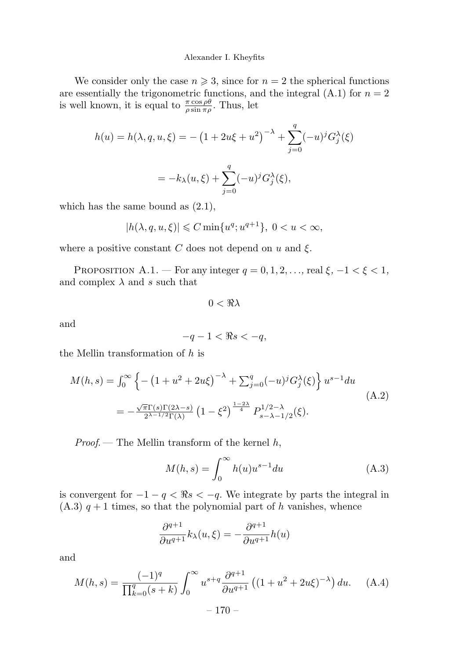We consider only the case  $n \geq 3$ , since for  $n = 2$  the spherical functions are essentially the trigonometric functions, and the integral  $(A.1)$  for  $n = 2$ is well known, it is equal to  $\frac{\pi \cos \rho \theta}{\rho \sin \pi \rho}$ . Thus, let

$$
h(u) = h(\lambda, q, u, \xi) = -\left(1 + 2u\xi + u^2\right)^{-\lambda} + \sum_{j=0}^{q} (-u)^j G_j^{\lambda}(\xi)
$$

$$
= -k_{\lambda}(u, \xi) + \sum_{j=0}^{q} (-u)^j G_j^{\lambda}(\xi),
$$

which has the same bound as  $(2.1)$ ,

$$
|h(\lambda, q, u, \xi)| \leqslant C \min\{u^q; u^{q+1}\}, \ 0 < u < \infty,
$$

where a positive constant C does not depend on u and  $\xi$ .

PROPOSITION A.1. — For any integer  $q = 0, 1, 2, \ldots$ , real  $\xi$ ,  $-1 < \xi < 1$ , and complex  $\lambda$  and s such that

 $0 < \Re \lambda$ 

and

$$
-q-1 < \Re s < -q,
$$

the Mellin transformation of h is

$$
M(h,s) = \int_0^\infty \left\{ -\left(1 + u^2 + 2u\xi\right)^{-\lambda} + \sum_{j=0}^q (-u)^j G_j^{\lambda}(\xi) \right\} u^{s-1} du
$$
  
= 
$$
-\frac{\sqrt{\pi} \Gamma(s) \Gamma(2\lambda - s)}{2^{\lambda - 1/2} \Gamma(\lambda)} \left(1 - \xi^2\right)^{\frac{1-2\lambda}{4}} P_{s-\lambda - 1/2}^{1/2 - \lambda}(\xi).
$$
 (A.2)

*Proof.* — The Mellin transform of the kernel  $h$ ,

$$
M(h,s) = \int_0^\infty h(u)u^{s-1} du
$$
\n(A.3)

is convergent for  $-1 - q < \Re s < -q$ . We integrate by parts the integral in  $(A.3)$   $q + 1$  times, so that the polynomial part of h vanishes, whence

$$
\frac{\partial^{q+1}}{\partial u^{q+1}}k_{\lambda}(u,\xi) = -\frac{\partial^{q+1}}{\partial u^{q+1}}h(u)
$$

and

$$
M(h,s) = \frac{(-1)^q}{\prod_{k=0}^q (s+k)} \int_0^\infty u^{s+q} \frac{\partial^{q+1}}{\partial u^{q+1}} \left( (1+u^2+2u\xi)^{-\lambda} \right) du. \tag{A.4}
$$

 $-170-$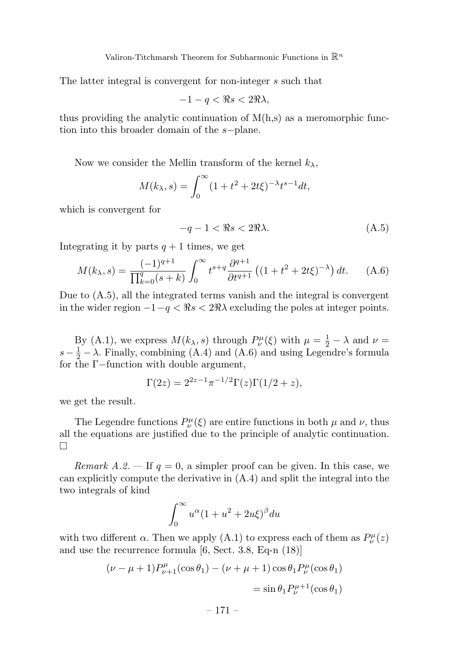The latter integral is convergent for non-integer s such that

$$
-1 - q < \Re s < 2\Re\lambda
$$

thus providing the analytic continuation of  $M(h,s)$  as a meromorphic function into this broader domain of the s−plane.

Now we consider the Mellin transform of the kernel  $k_{\lambda}$ ,

$$
M(k_{\lambda}, s) = \int_0^{\infty} (1 + t^2 + 2t\xi)^{-\lambda} t^{s-1} dt,
$$

which is convergent for

$$
-q - 1 < \Re s < 2\Re\lambda. \tag{A.5}
$$

Integrating it by parts  $q + 1$  times, we get

$$
M(k_{\lambda}, s) = \frac{(-1)^{q+1}}{\prod_{k=0}^{q} (s+k)} \int_0^{\infty} t^{s+q} \frac{\partial^{q+1}}{\partial t^{q+1}} \left( (1+t^2+2t\xi)^{-\lambda} \right) dt. \tag{A.6}
$$

Due to (A.5), all the integrated terms vanish and the integral is convergent in the wider region  $-1-q < \Re s < 2\Re\lambda$  excluding the poles at integer points.

By (A.1), we express  $M(k_{\lambda}, s)$  through  $P_{\nu}^{\mu}(\xi)$  with  $\mu = \frac{1}{2} - \lambda$  and  $\nu =$  $s - \frac{1}{2} - \lambda$ . Finally, combining (A.4) and (A.6) and using Legendre's formula for the Γ−function with double argument,

$$
\Gamma(2z) = 2^{2z-1}\pi^{-1/2}\Gamma(z)\Gamma(1/2+z),
$$

we get the result.

The Legendre functions  $P^{\mu}_{\nu}(\xi)$  are entire functions in both  $\mu$  and  $\nu$ , thus all the equations are justified due to the principle of analytic continuation.  $\Box$ 

Remark A.2. — If  $q = 0$ , a simpler proof can be given. In this case, we can explicitly compute the derivative in (A.4) and split the integral into the two integrals of kind

$$
\int_0^\infty u^\alpha (1+u^2+2u\xi)^\beta du
$$

with two different  $\alpha$ . Then we apply (A.1) to express each of them as  $P^{\mu}_{\nu}(z)$ and use the recurrence formula [6, Sect. 3.8, Eq-n (18)]

$$
(\nu - \mu + 1)P_{\nu+1}^{\mu}(\cos \theta_1) - (\nu + \mu + 1)\cos \theta_1 P_{\nu}^{\mu}(\cos \theta_1)
$$
  
=  $\sin \theta_1 P_{\nu}^{\mu+1}(\cos \theta_1)$ 

– 171 –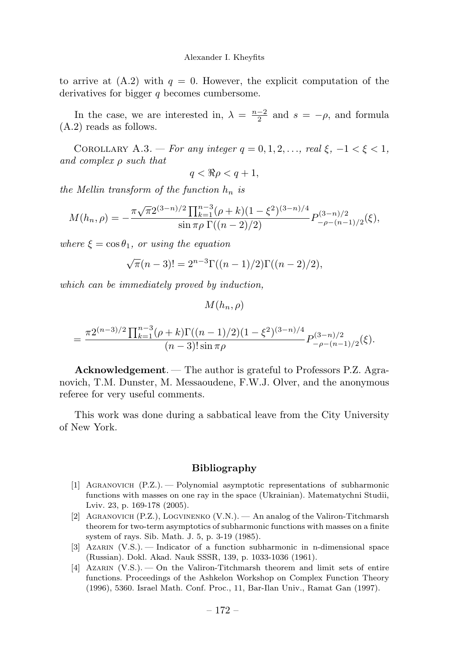to arrive at  $(A.2)$  with  $q = 0$ . However, the explicit computation of the derivatives for bigger q becomes cumbersome.

In the case, we are interested in,  $\lambda = \frac{n-2}{2}$  and  $s = -\rho$ , and formula (A.2) reads as follows.

COROLLARY A.3. — For any integer  $q = 0, 1, 2, \ldots$ , real  $\xi$ ,  $-1 < \xi < 1$ , and complex ρ such that

 $q < \Re \rho < q + 1$ ,

the Mellin transform of the function  $h_n$  is

$$
M(h_n, \rho) = -\frac{\pi \sqrt{\pi} 2^{(3-n)/2} \prod_{k=1}^{n-3} (\rho + k)(1 - \xi^2)^{(3-n)/4}}{\sin \pi \rho \Gamma((n-2)/2)} P_{-\rho - (n-1)/2}^{(3-n)/2}(\xi),
$$

where  $\xi = \cos \theta_1$ , or using the equation

$$
\sqrt{\pi}(n-3)! = 2^{n-3} \Gamma((n-1)/2) \Gamma((n-2)/2),
$$

which can be immediately proved by induction,

 $M(h_n, \rho)$ 

$$
= \frac{\pi 2^{(n-3)/2} \prod_{k=1}^{n-3} (\rho+k) \Gamma((n-1)/2) (1-\xi^2)^{(3-n)/4}}{(n-3)! \sin \pi \rho} P_{-\rho-(n-1)/2}^{(3-n)/2}(\xi).
$$

Acknowledgement. — The author is grateful to Professors P.Z. Agranovich, T.M. Dunster, M. Messaoudene, F.W.J. Olver, and the anonymous referee for very useful comments.

This work was done during a sabbatical leave from the City University of New York.

# Bibliography

- [1] Agranovich (P.Z.). Polynomial asymptotic representations of subharmonic functions with masses on one ray in the space (Ukrainian). Matematychni Studii, Lviv. 23, p. 169-178 (2005).
- [2] Agranovich (P.Z.), Logvinenko (V.N.). An analog of the Valiron-Titchmarsh theorem for two-term asymptotics of subharmonic functions with masses on a finite system of rays. Sib. Math. J. 5, p. 3-19 (1985).
- [3] Azarin (V.S.). Indicator of a function subharmonic in n-dimensional space (Russian). Dokl. Akad. Nauk SSSR, 139, p. 1033-1036 (1961).
- [4] Azarin (V.S.). On the Valiron-Titchmarsh theorem and limit sets of entire functions. Proceedings of the Ashkelon Workshop on Complex Function Theory (1996), 5360. Israel Math. Conf. Proc., 11, Bar-Ilan Univ., Ramat Gan (1997).